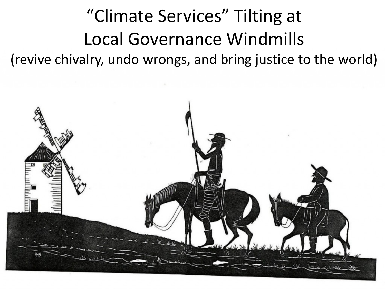## "Climate Services" Tilting at Local Governance Windmills (revive chivalry, undo wrongs, and bring justice to the world)

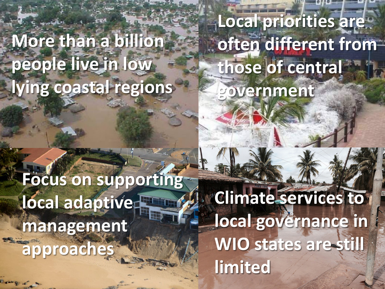# **More than a billion people live in low lying coastal regions**

# **Focus on supporting local adaptive management approaches**

**Local priorities are often different from those of central government**

**Climate services to local governance in WIO states are still limited**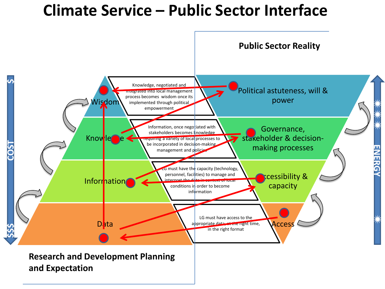### **Climate Service – Public Sector Interface**